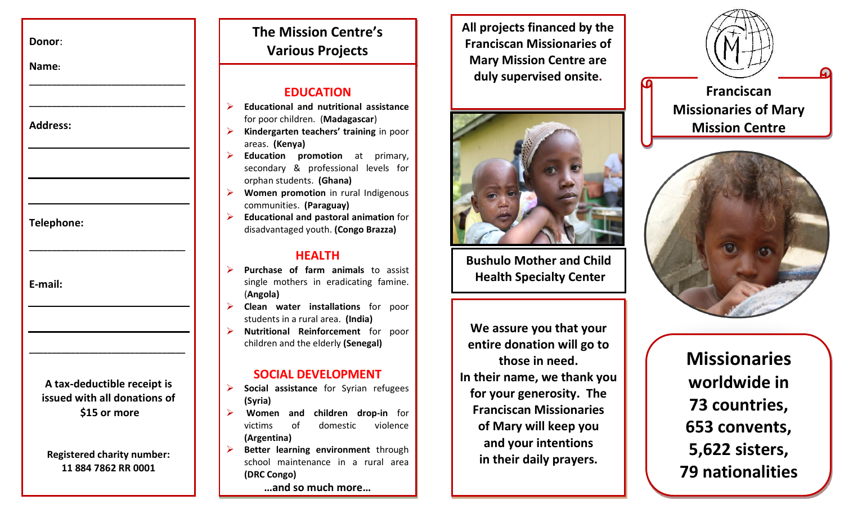**Donor**:

**Name:** 

**Address:**

**Telephone:**

**E-mail:**

**A tax-deductible receipt is issued with all donations of \$15 or more**

**\_\_\_\_\_\_\_\_\_\_\_\_\_\_\_\_\_\_\_\_\_\_\_\_\_\_\_\_\_\_\_\_\_\_**

**\_\_\_\_\_\_\_\_\_\_\_\_\_\_\_\_\_\_\_\_\_\_\_\_\_\_\_\_\_\_\_\_\_\_**

**\_\_\_\_\_\_\_\_\_\_\_\_\_\_\_\_\_\_\_\_\_\_\_\_\_\_\_\_\_\_\_\_\_\_**

**\_\_\_\_\_\_\_\_\_\_\_\_\_\_\_\_\_\_\_\_\_\_\_\_\_\_\_\_\_\_\_\_\_\_**

**Registered charity number: 11 884 7862 RR 0001**

# **The Mission Centre's Various Projects**

### **EDUCATION**

- **Educational and nutritional assistance** for poor children. (**Madagascar**)
- **Kindergarten teachers' training** in poor areas. **(Kenya)**
- **Education promotion** at primary, secondary & professional levels for orphan students. **(Ghana)**
- **Women promotion** in rural Indigenous communities. **(Paraguay)**
- **Educational and pastoral animation** for disadvantaged youth. **(Congo Brazza)**

### **HEALTH**

- **Purchase of farm animals** to assist single mothers in eradicating famine. (**Angola)**
- **Clean water installations** for poor students in a rural area. **(India)**
- **Nutritional Reinforcement** for poor children and the elderly **(Senegal)**

### **SOCIAL DEVELOPMENT**

- **Social assistance** for Syrian refugees **(Syria)**
- **Women and children drop-in** for victims of domestic violence **(Argentina)**
- **Better learning environment** through school maintenance in a rural area **(DRC Congo)**

**…and so much more…**

**All projects financed by the Franciscan Missionaries of Mary Mission Centre are duly supervised onsite.**



**Bushulo Mother and Child Health Specialty Center**

**Éthiopia**

**We assure you that your entire donation will go to those in need. In their name, we thank you for your generosity. The Franciscan Missionaries of Mary will keep you and your intentions in their daily prayers.**

**Franciscan Missionaries of Mary Mission Centre**



**Missionaries worldwide in 73 countries, 653 convents, 5,622 sisters, 79 nationalities**